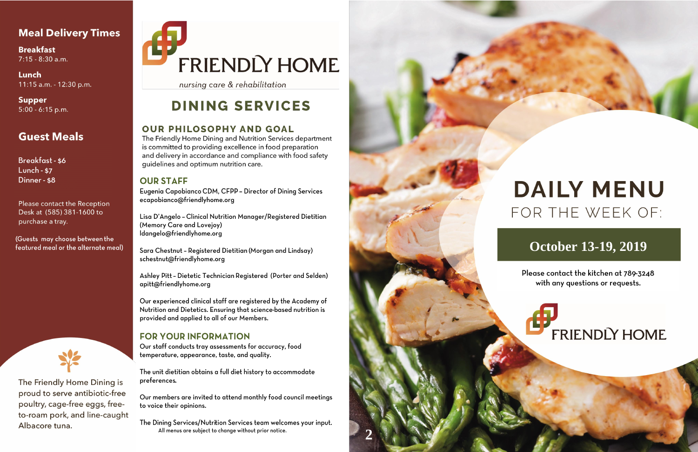## **Meal Delivery Times**

**Breakfast**  $7:15 - 8:30$  a.m.

Lunch 11:15 a.m. - 12:30 p.m.

**Supper**  $5:00 - 6:15$  p.m.

## **Guest Meals**

**Breakfast - \$6** Lunch -  $$7$ Dinner - \$8

Please contact the Reception Desk at (585) 381-1600 to purchase a tray.

(Guests may choose between the featured meal or the alternate meal)



The Friendly Home Dining is proud to serve antibiotic-free poultry, cage-free eggs, freeto-roam pork, and line-caught Albacore tuna.

# **FRIENDLY HOME**

nursing care & rehabilitation

# **DINING SERVICES**

### **OUR PHILOSOPHY AND GOAL**

The Friendly Home Dining and Nutrition Services department is committed to providing excellence in food preparation and delivery in accordance and compliance with food safety quidelines and optimum nutrition care.

### **OUR STAFF**

Eugenia Capobianco CDM, CFPP - Director of Dining Services ecapobianco@friendlyhome.org

Lisa D'Angelo - Clinical Nutrition Manager/Registered Dietitian (Memory Care and Lovejoy) ldangelo@friendlyhome.org

Sara Chestnut - Registered Dietitian (Morgan and Lindsay) schestnut@friendlyhome.org

Ashley Pitt - Dietetic Technician Registered (Porter and Selden) apitt@friendlyhome.org

Our experienced clinical staff are registered by the Academy of Nutrition and Dietetics. Ensuring that science-based nutrition is provided and applied to all of our Members.

### **FOR YOUR INFORMATION**

Our staff conducts tray assessments for accuracy, food temperature, appearance, taste, and quality.

The unit dietitian obtains a full diet history to accommodate preferences.

Our members are invited to attend monthly food council meetings to voice their opinions.

The Dining Services/Nutrition Services team welcomes your input. All menus are subject to change without prior notice.



# **DAILY MENU** FOR THE WEEK OF:

# **October 13-19, 2019**

Please contact the kitchen at 789-3248 with any questions or requests.

# **FRIENDLY HOME**